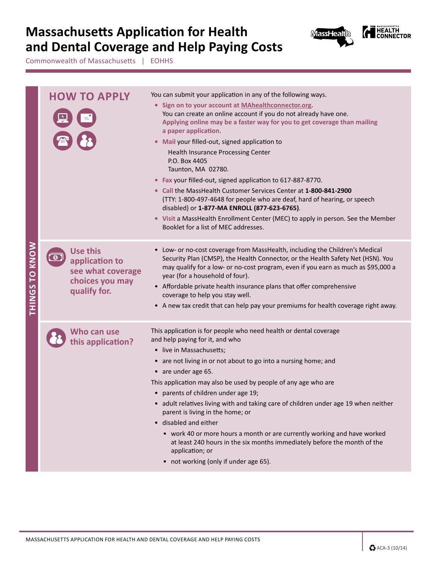## **Massachusetts Application for Health and Dental Coverage and Help Paying Costs**



**EXALTH**<br>
CONNECTOR

Commonwealth of Massachusetts | EOHHS

| THINGS TO KNOW | <b>HOW TO APPLY</b>                                                                       | You can submit your application in any of the following ways.<br>• Sign on to your account at MAhealthconnector.org.<br>You can create an online account if you do not already have one.<br>Applying online may be a faster way for you to get coverage than mailing<br>a paper application.<br>• Mail your filled-out, signed application to<br><b>Health Insurance Processing Center</b><br>P.O. Box 4405<br>Taunton, MA 02780.<br>• Fax your filled-out, signed application to 617-887-8770.<br>• Call the MassHealth Customer Services Center at 1-800-841-2900<br>(TTY: 1-800-497-4648 for people who are deaf, hard of hearing, or speech<br>disabled) or 1-877-MA ENROLL (877-623-6765).<br>• Visit a MassHealth Enrollment Center (MEC) to apply in person. See the Member<br>Booklet for a list of MEC addresses. |  |  |  |  |
|----------------|-------------------------------------------------------------------------------------------|----------------------------------------------------------------------------------------------------------------------------------------------------------------------------------------------------------------------------------------------------------------------------------------------------------------------------------------------------------------------------------------------------------------------------------------------------------------------------------------------------------------------------------------------------------------------------------------------------------------------------------------------------------------------------------------------------------------------------------------------------------------------------------------------------------------------------|--|--|--|--|
|                | <b>Use this</b><br>application to<br>see what coverage<br>choices you may<br>qualify for. | • Low- or no-cost coverage from MassHealth, including the Children's Medical<br>Security Plan (CMSP), the Health Connector, or the Health Safety Net (HSN). You<br>may qualify for a low- or no-cost program, even if you earn as much as \$95,000 a<br>year (for a household of four).<br>• Affordable private health insurance plans that offer comprehensive<br>coverage to help you stay well.<br>• A new tax credit that can help pay your premiums for health coverage right away.                                                                                                                                                                                                                                                                                                                                   |  |  |  |  |
|                | Who can use<br>this application?                                                          | This application is for people who need health or dental coverage<br>and help paying for it, and who<br>• live in Massachusetts;<br>• are not living in or not about to go into a nursing home; and<br>• are under age 65.<br>This application may also be used by people of any age who are<br>• parents of children under age 19;<br>• adult relatives living with and taking care of children under age 19 when neither<br>parent is living in the home; or<br>• disabled and either<br>• work 40 or more hours a month or are currently working and have worked<br>at least 240 hours in the six months immediately before the month of the<br>application; or<br>• not working (only if under age 65).                                                                                                                |  |  |  |  |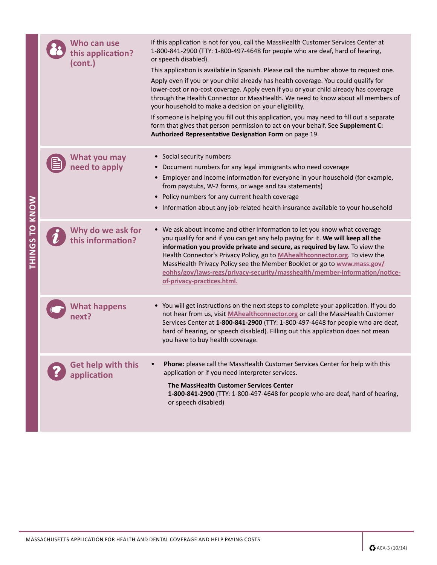| THINGS TO KNOW | Who can use<br>this application?<br>(cont.) | If this application is not for you, call the MassHealth Customer Services Center at<br>1-800-841-2900 (TTY: 1-800-497-4648 for people who are deaf, hard of hearing,<br>or speech disabled).<br>This application is available in Spanish. Please call the number above to request one.<br>Apply even if you or your child already has health coverage. You could qualify for<br>lower-cost or no-cost coverage. Apply even if you or your child already has coverage<br>through the Health Connector or MassHealth. We need to know about all members of<br>your household to make a decision on your eligibility.<br>If someone is helping you fill out this application, you may need to fill out a separate<br>form that gives that person permission to act on your behalf. See Supplement C:<br>Authorized Representative Designation Form on page 19. |  |  |  |  |
|----------------|---------------------------------------------|-------------------------------------------------------------------------------------------------------------------------------------------------------------------------------------------------------------------------------------------------------------------------------------------------------------------------------------------------------------------------------------------------------------------------------------------------------------------------------------------------------------------------------------------------------------------------------------------------------------------------------------------------------------------------------------------------------------------------------------------------------------------------------------------------------------------------------------------------------------|--|--|--|--|
|                | What you may<br>need to apply               | • Social security numbers<br>• Document numbers for any legal immigrants who need coverage<br>• Employer and income information for everyone in your household (for example,<br>from paystubs, W-2 forms, or wage and tax statements)<br>• Policy numbers for any current health coverage<br>• Information about any job-related health insurance available to your household                                                                                                                                                                                                                                                                                                                                                                                                                                                                               |  |  |  |  |
|                | Why do we ask for<br>this information?      | • We ask about income and other information to let you know what coverage<br>you qualify for and if you can get any help paying for it. We will keep all the<br>information you provide private and secure, as required by law. To view the<br>Health Connector's Privacy Policy, go to MAhealthconnector.org. To view the<br>MassHealth Privacy Policy see the Member Booklet or go to www.mass.gov/<br>eohhs/gov/laws-regs/privacy-security/masshealth/member-information/notice-<br>of-privacy-practices.html.                                                                                                                                                                                                                                                                                                                                           |  |  |  |  |
|                | <b>What happens</b><br>iext i               | • You will get instructions on the next steps to complete your application. If you do<br>not hear from us, visit MAhealthconnector.org or call the MassHealth Customer<br>Services Center at 1-800-841-2900 (TTY: 1-800-497-4648 for people who are deaf,<br>hard of hearing, or speech disabled). Filling out this application does not mean<br>you have to buy health coverage.                                                                                                                                                                                                                                                                                                                                                                                                                                                                           |  |  |  |  |
|                | Get help with this<br>application           | Phone: please call the MassHealth Customer Services Center for help with this<br>application or if you need interpreter services.<br>The MassHealth Customer Services Center<br>1-800-841-2900 (TTY: 1-800-497-4648 for people who are deaf, hard of hearing,<br>or speech disabled)                                                                                                                                                                                                                                                                                                                                                                                                                                                                                                                                                                        |  |  |  |  |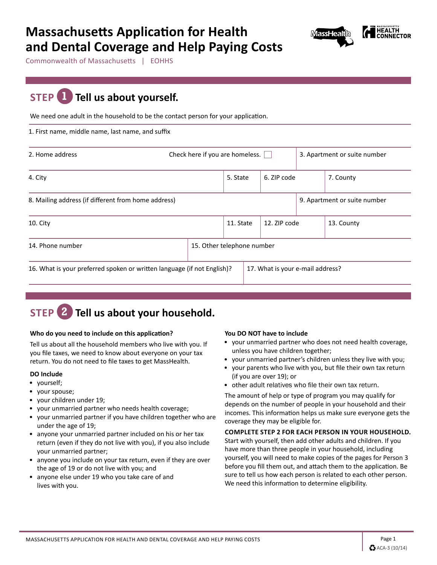## **Massachusetts Application for Health and Dental Coverage and Help Paying Costs**



Commonwealth of Massachusetts | EOHHS

## **STEP 1 Tell us about yourself.**

We need one adult in the household to be the contact person for your application.

1. First name, middle name, last name, and suffix

| 2. Home address                                                         |  | Check here if you are homeless. $\vert \ \vert$ |           |  |                                  |  | 3. Apartment or suite number |
|-------------------------------------------------------------------------|--|-------------------------------------------------|-----------|--|----------------------------------|--|------------------------------|
| 4. City                                                                 |  |                                                 | 5. State  |  | 6. ZIP code                      |  | 7. County                    |
| 8. Mailing address (if different from home address)                     |  |                                                 |           |  |                                  |  | 9. Apartment or suite number |
| 10. City                                                                |  |                                                 | 11. State |  | 12. ZIP code                     |  | 13. County                   |
| 14. Phone number                                                        |  | 15. Other telephone number                      |           |  |                                  |  |                              |
| 16. What is your preferred spoken or written language (if not English)? |  |                                                 |           |  | 17. What is your e-mail address? |  |                              |

## **STEP 2 Tell us about your household.**

#### **Who do you need to include on this application?**

Tell us about all the household members who live with you. If you file taxes, we need to know about everyone on your tax return. You do not need to file taxes to get MassHealth.

### **DO Include**

- yourself;
- your spouse;
- your children under 19;
- your unmarried partner who needs health coverage;
- your unmarried partner if you have children together who are under the age of 19;
- anyone your unmarried partner included on his or her tax return (even if they do not live with you), if you also include your unmarried partner;
- anyone you include on your tax return, even if they are over the age of 19 or do not live with you; and
- anyone else under 19 who you take care of and lives with you.

### **You DO NOT have to include**

- your unmarried partner who does not need health coverage, unless you have children together;
- your unmarried partner's children unless they live with you;
- your parents who live with you, but file their own tax return (if you are over 19); or
- other adult relatives who file their own tax return.

The amount of help or type of program you may qualify for depends on the number of people in your household and their incomes. This information helps us make sure everyone gets the coverage they may be eligible for.

#### **COMPLETE STEP 2 FOR EACH PERSON IN YOUR HOUSEHOLD.**

Start with yourself, then add other adults and children. If you have more than three people in your household, including yourself, you will need to make copies of the pages for Person 3 before you fill them out, and attach them to the application. Be sure to tell us how each person is related to each other person. We need this information to determine eligibility.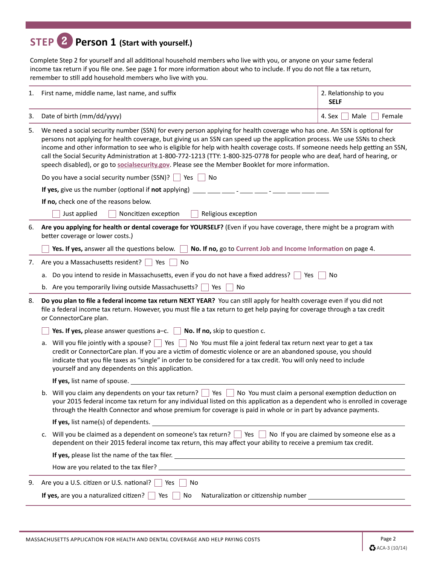## **STEP 2 Person 1 (Start with yourself.)**

Complete Step 2 for yourself and all additional household members who live with you, or anyone on your same federal income tax return if you file one. See page 1 for more information about who to include. If you do not file a tax return, remember to still add household members who live with you.

| 1. | First name, middle name, last name, and suffix                                                                                                                                                                                                                                                                                                                                                                                                                                                                                                                                                                               | 2. Relationship to you<br><b>SELF</b> |  |  |  |  |  |
|----|------------------------------------------------------------------------------------------------------------------------------------------------------------------------------------------------------------------------------------------------------------------------------------------------------------------------------------------------------------------------------------------------------------------------------------------------------------------------------------------------------------------------------------------------------------------------------------------------------------------------------|---------------------------------------|--|--|--|--|--|
| 3. | Date of birth (mm/dd/yyyy)                                                                                                                                                                                                                                                                                                                                                                                                                                                                                                                                                                                                   | Male<br>4. Sex<br>Female              |  |  |  |  |  |
| 5. | We need a social security number (SSN) for every person applying for health coverage who has one. An SSN is optional for<br>persons not applying for health coverage, but giving us an SSN can speed up the application process. We use SSNs to check<br>income and other information to see who is eligible for help with health coverage costs. If someone needs help getting an SSN,<br>call the Social Security Administration at 1-800-772-1213 (TTY: 1-800-325-0778 for people who are deaf, hard of hearing, or<br>speech disabled), or go to socialsecurity.gov. Please see the Member Booklet for more information. |                                       |  |  |  |  |  |
|    | Do you have a social security number (SSN)?<br>  Yes<br>∣No                                                                                                                                                                                                                                                                                                                                                                                                                                                                                                                                                                  |                                       |  |  |  |  |  |
|    | If yes, give us the number (optional if not applying)                                                                                                                                                                                                                                                                                                                                                                                                                                                                                                                                                                        |                                       |  |  |  |  |  |
|    | If no, check one of the reasons below.                                                                                                                                                                                                                                                                                                                                                                                                                                                                                                                                                                                       |                                       |  |  |  |  |  |
|    | Religious exception<br>Just applied<br>Noncitizen exception                                                                                                                                                                                                                                                                                                                                                                                                                                                                                                                                                                  |                                       |  |  |  |  |  |
| 6. | Are you applying for health or dental coverage for YOURSELF? (Even if you have coverage, there might be a program with<br>better coverage or lower costs.)                                                                                                                                                                                                                                                                                                                                                                                                                                                                   |                                       |  |  |  |  |  |
|    | Yes. If yes, answer all the questions below. $\Box$<br>No. If no, go to Current Job and Income Information on page 4.                                                                                                                                                                                                                                                                                                                                                                                                                                                                                                        |                                       |  |  |  |  |  |
| 7. | Are you a Massachusetts resident?<br>No<br>Yes                                                                                                                                                                                                                                                                                                                                                                                                                                                                                                                                                                               |                                       |  |  |  |  |  |
|    | a. Do you intend to reside in Massachusetts, even if you do not have a fixed address?<br>Yes<br>No                                                                                                                                                                                                                                                                                                                                                                                                                                                                                                                           |                                       |  |  |  |  |  |
|    | b. Are you temporarily living outside Massachusetts? $\Box$ Yes<br>No                                                                                                                                                                                                                                                                                                                                                                                                                                                                                                                                                        |                                       |  |  |  |  |  |
| 8. | Do you plan to file a federal income tax return NEXT YEAR? You can still apply for health coverage even if you did not<br>file a federal income tax return. However, you must file a tax return to get help paying for coverage through a tax credit<br>or ConnectorCare plan.                                                                                                                                                                                                                                                                                                                                               |                                       |  |  |  |  |  |
|    | Yes. If yes, please answer questions $a-c$ . No. If no, skip to question c.                                                                                                                                                                                                                                                                                                                                                                                                                                                                                                                                                  |                                       |  |  |  |  |  |
|    | a. Will you file jointly with a spouse? $\Box$ Yes $\Box$ No You must file a joint federal tax return next year to get a tax<br>credit or ConnectorCare plan. If you are a victim of domestic violence or are an abandoned spouse, you should<br>indicate that you file taxes as "single" in order to be considered for a tax credit. You will only need to include<br>yourself and any dependents on this application.                                                                                                                                                                                                      |                                       |  |  |  |  |  |
|    | If yes, list name of spouse.                                                                                                                                                                                                                                                                                                                                                                                                                                                                                                                                                                                                 |                                       |  |  |  |  |  |
|    | b. Will you claim any dependents on your tax return? $\Box$ Yes $\Box$ No You must claim a personal exemption deduction on<br>your 2015 federal income tax return for any individual listed on this application as a dependent who is enrolled in coverage<br>through the Health Connector and whose premium for coverage is paid in whole or in part by advance payments.                                                                                                                                                                                                                                                   |                                       |  |  |  |  |  |
|    | <b>If yes, list name(s) of dependents.</b>                                                                                                                                                                                                                                                                                                                                                                                                                                                                                                                                                                                   |                                       |  |  |  |  |  |
|    | Will you be claimed as a dependent on someone's tax return?   Yes   No If you are claimed by someone else as a<br>c.<br>dependent on their 2015 federal income tax return, this may affect your ability to receive a premium tax credit.                                                                                                                                                                                                                                                                                                                                                                                     |                                       |  |  |  |  |  |
|    |                                                                                                                                                                                                                                                                                                                                                                                                                                                                                                                                                                                                                              |                                       |  |  |  |  |  |
|    |                                                                                                                                                                                                                                                                                                                                                                                                                                                                                                                                                                                                                              |                                       |  |  |  |  |  |
| 9. | Are you a U.S. citizen or U.S. national?<br>Yes     No                                                                                                                                                                                                                                                                                                                                                                                                                                                                                                                                                                       |                                       |  |  |  |  |  |
|    | If yes, are you a naturalized citizen? $\Box$ Yes $\Box$<br>No                                                                                                                                                                                                                                                                                                                                                                                                                                                                                                                                                               |                                       |  |  |  |  |  |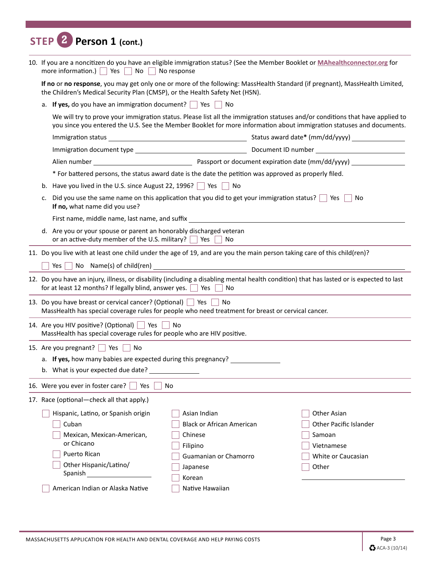# **STEP 2 Person 1 (cont.)**

| 10. If you are a noncitizen do you have an eligible immigration status? (See the Member Booklet or MAhealthconnector.org for<br>more information.) $\Box$ Yes<br>$No$    <br>No response |                                                                                                                 |                                                                                                                                                                                                                                                       |  |  |  |  |  |
|------------------------------------------------------------------------------------------------------------------------------------------------------------------------------------------|-----------------------------------------------------------------------------------------------------------------|-------------------------------------------------------------------------------------------------------------------------------------------------------------------------------------------------------------------------------------------------------|--|--|--|--|--|
| the Children's Medical Security Plan (CMSP), or the Health Safety Net (HSN).                                                                                                             |                                                                                                                 | If no or no response, you may get only one or more of the following: MassHealth Standard (if pregnant), MassHealth Limited,                                                                                                                           |  |  |  |  |  |
|                                                                                                                                                                                          | a. If yes, do you have an immigration document? $\Box$ Yes [<br><b>No</b>                                       |                                                                                                                                                                                                                                                       |  |  |  |  |  |
|                                                                                                                                                                                          |                                                                                                                 | We will try to prove your immigration status. Please list all the immigration statuses and/or conditions that have applied to<br>you since you entered the U.S. See the Member Booklet for more information about immigration statuses and documents. |  |  |  |  |  |
|                                                                                                                                                                                          |                                                                                                                 |                                                                                                                                                                                                                                                       |  |  |  |  |  |
|                                                                                                                                                                                          |                                                                                                                 |                                                                                                                                                                                                                                                       |  |  |  |  |  |
|                                                                                                                                                                                          |                                                                                                                 |                                                                                                                                                                                                                                                       |  |  |  |  |  |
|                                                                                                                                                                                          | * For battered persons, the status award date is the date the petition was approved as properly filed.          |                                                                                                                                                                                                                                                       |  |  |  |  |  |
| b. Have you lived in the U.S. since August 22, 1996? $\Box$ Yes $\Box$ No                                                                                                                |                                                                                                                 |                                                                                                                                                                                                                                                       |  |  |  |  |  |
| c.<br>If no, what name did you use?                                                                                                                                                      | Did you use the same name on this application that you did to get your immigration status? $\Box$ Yes $\Box$ No |                                                                                                                                                                                                                                                       |  |  |  |  |  |
| First name, middle name, last name, and suffix                                                                                                                                           |                                                                                                                 |                                                                                                                                                                                                                                                       |  |  |  |  |  |
| d. Are you or your spouse or parent an honorably discharged veteran<br>or an active-duty member of the U.S. military?   Yes                                                              | No                                                                                                              |                                                                                                                                                                                                                                                       |  |  |  |  |  |
| 11. Do you live with at least one child under the age of 19, and are you the main person taking care of this child(ren)?                                                                 |                                                                                                                 |                                                                                                                                                                                                                                                       |  |  |  |  |  |
| Yes $\vert$ $\vert$                                                                                                                                                                      |                                                                                                                 |                                                                                                                                                                                                                                                       |  |  |  |  |  |
| for at least 12 months? If legally blind, answer yes. $\vert \vert$ Yes $\vert \vert$ No                                                                                                 |                                                                                                                 | 12. Do you have an injury, illness, or disability (including a disabling mental health condition) that has lasted or is expected to last                                                                                                              |  |  |  |  |  |
| 13. Do you have breast or cervical cancer? (Optional)   Yes<br>MassHealth has special coverage rules for people who need treatment for breast or cervical cancer.                        | No                                                                                                              |                                                                                                                                                                                                                                                       |  |  |  |  |  |
| 14. Are you HIV positive? (Optional)   Yes   No<br>MassHealth has special coverage rules for people who are HIV positive.                                                                |                                                                                                                 |                                                                                                                                                                                                                                                       |  |  |  |  |  |
| 15. Are you pregnant? Yes No                                                                                                                                                             |                                                                                                                 |                                                                                                                                                                                                                                                       |  |  |  |  |  |
| a. If yes, how many babies are expected during this pregnancy?                                                                                                                           |                                                                                                                 |                                                                                                                                                                                                                                                       |  |  |  |  |  |
| b. What is your expected due date?                                                                                                                                                       |                                                                                                                 |                                                                                                                                                                                                                                                       |  |  |  |  |  |
| 16. Were you ever in foster care?<br>Yes                                                                                                                                                 | No                                                                                                              |                                                                                                                                                                                                                                                       |  |  |  |  |  |
| 17. Race (optional-check all that apply.)                                                                                                                                                |                                                                                                                 |                                                                                                                                                                                                                                                       |  |  |  |  |  |
| Hispanic, Latino, or Spanish origin                                                                                                                                                      | Asian Indian                                                                                                    | Other Asian                                                                                                                                                                                                                                           |  |  |  |  |  |
| Cuban                                                                                                                                                                                    | <b>Black or African American</b>                                                                                | <b>Other Pacific Islander</b>                                                                                                                                                                                                                         |  |  |  |  |  |
| Mexican, Mexican-American,                                                                                                                                                               | Chinese                                                                                                         | Samoan                                                                                                                                                                                                                                                |  |  |  |  |  |
| or Chicano                                                                                                                                                                               | Filipino                                                                                                        | Vietnamese                                                                                                                                                                                                                                            |  |  |  |  |  |
| Puerto Rican                                                                                                                                                                             | Guamanian or Chamorro                                                                                           | White or Caucasian                                                                                                                                                                                                                                    |  |  |  |  |  |
| Other Hispanic/Latino/<br>Spanish                                                                                                                                                        | Japanese                                                                                                        | Other                                                                                                                                                                                                                                                 |  |  |  |  |  |
|                                                                                                                                                                                          | Korean                                                                                                          |                                                                                                                                                                                                                                                       |  |  |  |  |  |
| American Indian or Alaska Native                                                                                                                                                         | Native Hawaiian                                                                                                 |                                                                                                                                                                                                                                                       |  |  |  |  |  |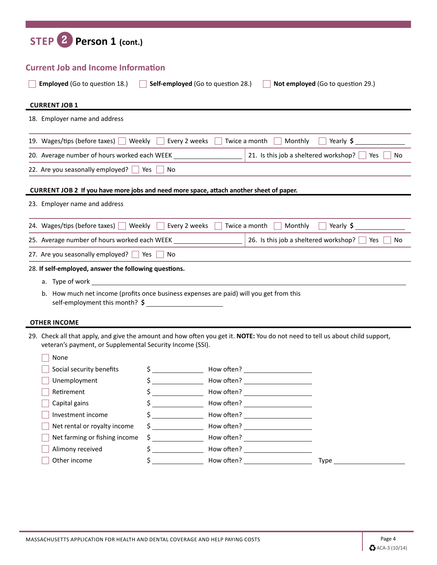| Person 1 (cont.)<br><b>STEP</b>                                                                                                                                                            |                                                           |                                                     |                                   |
|--------------------------------------------------------------------------------------------------------------------------------------------------------------------------------------------|-----------------------------------------------------------|-----------------------------------------------------|-----------------------------------|
| <b>Current Job and Income Information</b>                                                                                                                                                  |                                                           |                                                     |                                   |
| <b>Employed</b> (Go to question 18.)                                                                                                                                                       | Self-employed (Go to question 28.)                        |                                                     | Not employed (Go to question 29.) |
| <b>CURRENT JOB 1</b>                                                                                                                                                                       |                                                           |                                                     |                                   |
| 18. Employer name and address                                                                                                                                                              |                                                           |                                                     |                                   |
| 19. Wages/tips (before taxes)<br>Weekly                                                                                                                                                    | Every 2 weeks                                             | Twice a month<br>Monthly                            | Yearly \$                         |
| 20. Average number of hours worked each WEEK                                                                                                                                               |                                                           | 21. Is this job a sheltered workshop?               | Yes<br>No                         |
| 22. Are you seasonally employed?                                                                                                                                                           | Yes<br>No                                                 |                                                     |                                   |
| CURRENT JOB 2 If you have more jobs and need more space, attach another sheet of paper.                                                                                                    |                                                           |                                                     |                                   |
| 23. Employer name and address                                                                                                                                                              |                                                           |                                                     |                                   |
| 24. Wages/tips (before taxes)<br>Weekly                                                                                                                                                    | Every 2 weeks                                             | Twice a month<br>Monthly                            | Yearly \$                         |
| 25. Average number of hours worked each WEEK _                                                                                                                                             |                                                           | 26. Is this job a sheltered workshop?               | Yes<br>No                         |
| 27. Are you seasonally employed?                                                                                                                                                           | Yes  <br>No                                               |                                                     |                                   |
| 28. If self-employed, answer the following questions.                                                                                                                                      |                                                           |                                                     |                                   |
| a. Type of work                                                                                                                                                                            |                                                           |                                                     |                                   |
| b. How much net income (profits once business expenses are paid) will you get from this<br>self-employment this month? \$                                                                  |                                                           |                                                     |                                   |
| <b>OTHER INCOME</b>                                                                                                                                                                        |                                                           |                                                     |                                   |
| 29. Check all that apply, and give the amount and how often you get it. NOTE: You do not need to tell us about child support,<br>veteran's payment, or Supplemental Security Income (SSI). |                                                           |                                                     |                                   |
| None                                                                                                                                                                                       |                                                           |                                                     |                                   |
| Social security benefits                                                                                                                                                                   | $\frac{1}{2}$                                             | How often? <u>_________________________________</u> |                                   |
| Unemployment                                                                                                                                                                               | $\mathsf{S} \hspace{0.03in} \underbrace{\hspace{0.03in}}$ | How often? ______________________                   |                                   |
| Retirement                                                                                                                                                                                 |                                                           |                                                     |                                   |
| Capital gains                                                                                                                                                                              |                                                           |                                                     |                                   |
| Investment income                                                                                                                                                                          | $\frac{1}{2}$                                             | How often? ______________________                   |                                   |
| Net rental or royalty income                                                                                                                                                               |                                                           |                                                     |                                   |
| Net farming or fishing income<br>Alimony received                                                                                                                                          |                                                           | $$$ $$$ $$$                                         |                                   |
| Other income                                                                                                                                                                               |                                                           | $\text{\$}$ $\sim$ How often?                       | Type Type                         |
|                                                                                                                                                                                            |                                                           |                                                     |                                   |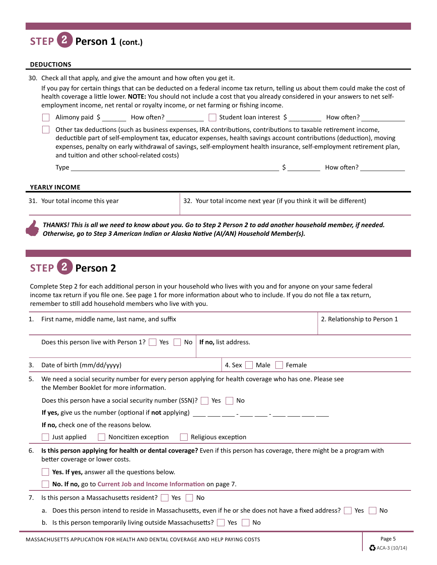| STEP 2 Person 1 (cont.)                                                                                                                                                                                                                                                                                                                                                                                                          |  |  |  |  |  |
|----------------------------------------------------------------------------------------------------------------------------------------------------------------------------------------------------------------------------------------------------------------------------------------------------------------------------------------------------------------------------------------------------------------------------------|--|--|--|--|--|
| <b>DEDUCTIONS</b>                                                                                                                                                                                                                                                                                                                                                                                                                |  |  |  |  |  |
| 30. Check all that apply, and give the amount and how often you get it.<br>If you pay for certain things that can be deducted on a federal income tax return, telling us about them could make the cost of<br>health coverage a little lower. NOTE: You should not include a cost that you already considered in your answers to net self-<br>employment income, net rental or royalty income, or net farming or fishing income. |  |  |  |  |  |
| Alimony paid \$ ________ How often? ___________ __ Student loan interest \$ _________ How often? ___________                                                                                                                                                                                                                                                                                                                     |  |  |  |  |  |
| Other tax deductions (such as business expenses, IRA contributions, contributions to taxable retirement income,<br>deductible part of self-employment tax, educator expenses, health savings account contributions (deduction), moving<br>expenses, penalty on early withdrawal of savings, self-employment health insurance, self-employment retirement plan,<br>and tuition and other school-related costs)                    |  |  |  |  |  |
|                                                                                                                                                                                                                                                                                                                                                                                                                                  |  |  |  |  |  |
| YEARLY INCOME                                                                                                                                                                                                                                                                                                                                                                                                                    |  |  |  |  |  |

31. Your total income this year 32. Your total income next year (if you think it will be different)

*THANKS! This is all we need to know about you. Go to Step 2 Person 2 to add another household member, if needed. Otherwise, go to Step 3 American Indian or Alaska Native (AI/AN) Household Member(s).*

## **STEP 2 Person 2**

Complete Step 2 for each additional person in your household who lives with you and for anyone on your same federal income tax return if you file one. See page 1 for more information about who to include. If you do not file a tax return, remember to still add household members who live with you.

| 1.                                                                                                                                                       | First name, middle name, last name, and suffix                                                                                                            |                | 2. Relationship to Person 1 |  |  |
|----------------------------------------------------------------------------------------------------------------------------------------------------------|-----------------------------------------------------------------------------------------------------------------------------------------------------------|----------------|-----------------------------|--|--|
|                                                                                                                                                          | Does this person live with Person 1?<br>Yes  <br>If no, list address.<br>No                                                                               |                |                             |  |  |
| 3.                                                                                                                                                       | Date of birth (mm/dd/yyyy)<br>4. Sex                                                                                                                      | Male<br>Female |                             |  |  |
| We need a social security number for every person applying for health coverage who has one. Please see<br>5.<br>the Member Booklet for more information. |                                                                                                                                                           |                |                             |  |  |
|                                                                                                                                                          | Does this person have a social security number (SSN)? $\vert \ \vert$<br>Yes<br>No.                                                                       |                |                             |  |  |
|                                                                                                                                                          | If yes, give us the number (optional if not applying)                                                                                                     |                |                             |  |  |
|                                                                                                                                                          | If no, check one of the reasons below.                                                                                                                    |                |                             |  |  |
|                                                                                                                                                          | Noncitizen exception<br>Just applied<br>Religious exception                                                                                               |                |                             |  |  |
| 6.                                                                                                                                                       | Is this person applying for health or dental coverage? Even if this person has coverage, there might be a program with<br>better coverage or lower costs. |                |                             |  |  |
|                                                                                                                                                          | Yes. If yes, answer all the questions below.                                                                                                              |                |                             |  |  |
|                                                                                                                                                          | No. If no, go to Current Job and Income Information on page 7.                                                                                            |                |                             |  |  |
| 7.                                                                                                                                                       | Is this person a Massachusetts resident? $\vert \cdot \vert$ Yes $\vert \cdot \vert$<br>No                                                                |                |                             |  |  |
|                                                                                                                                                          | Does this person intend to reside in Massachusetts, even if he or she does not have a fixed address?<br>a.                                                |                | Yes<br>No.                  |  |  |
|                                                                                                                                                          | Is this person temporarily living outside Massachusetts?  <br>Yes<br>b.                                                                                   | No             |                             |  |  |
|                                                                                                                                                          |                                                                                                                                                           |                |                             |  |  |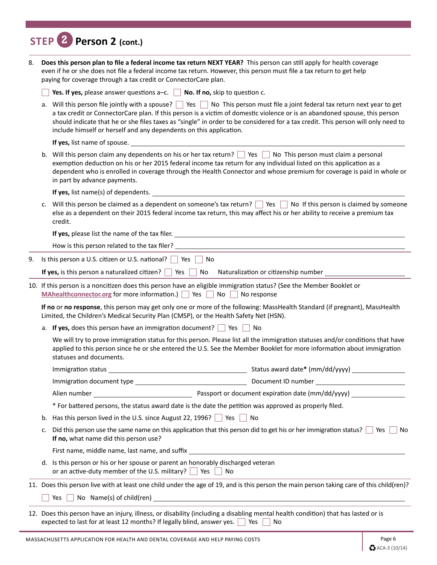|    |    | STEP 2 Person 2 (cont.)                                                                                                                                                                                                                                                                                                                                                                                                                                               |  |  |  |
|----|----|-----------------------------------------------------------------------------------------------------------------------------------------------------------------------------------------------------------------------------------------------------------------------------------------------------------------------------------------------------------------------------------------------------------------------------------------------------------------------|--|--|--|
| 8. |    | Does this person plan to file a federal income tax return NEXT YEAR? This person can still apply for health coverage<br>even if he or she does not file a federal income tax return. However, this person must file a tax return to get help<br>paying for coverage through a tax credit or ConnectorCare plan.                                                                                                                                                       |  |  |  |
|    |    | Yes. If yes, please answer questions $a-c$ . No. If no, skip to question c.                                                                                                                                                                                                                                                                                                                                                                                           |  |  |  |
|    |    | a. Will this person file jointly with a spouse? Similary No This person must file a joint federal tax return next year to get<br>a tax credit or ConnectorCare plan. If this person is a victim of domestic violence or is an abandoned spouse, this person<br>should indicate that he or she files taxes as "single" in order to be considered for a tax credit. This person will only need to<br>include himself or herself and any dependents on this application. |  |  |  |
|    |    | <b>If yes, list name of spouse.</b> The set of spouse of spouse and set of spouse of spouse of spouse and set of spouse of spouse and set of spouse of spouse and set of spouse and set of spouse and set of spouse and set of spou                                                                                                                                                                                                                                   |  |  |  |
|    |    | b. Will this person claim any dependents on his or her tax return? $\Box$ Yes $\Box$ No This person must claim a personal<br>exemption deduction on his or her 2015 federal income tax return for any individual listed on this application as a<br>dependent who is enrolled in coverage through the Health Connector and whose premium for coverage is paid in whole or<br>in part by advance payments.                                                             |  |  |  |
|    |    | If yes, list name(s) of dependents.                                                                                                                                                                                                                                                                                                                                                                                                                                   |  |  |  |
|    | c. | Will this person be claimed as a dependent on someone's tax return? $\Box$ Yes $\Box$ No If this person is claimed by someone<br>else as a dependent on their 2015 federal income tax return, this may affect his or her ability to receive a premium tax<br>credit.                                                                                                                                                                                                  |  |  |  |
|    |    | <b>If yes, please list the name of the tax filer.</b> The contract of the state of the state of the state of the tax filer.                                                                                                                                                                                                                                                                                                                                           |  |  |  |
|    |    | How is this person related to the tax filer? _                                                                                                                                                                                                                                                                                                                                                                                                                        |  |  |  |
| 9. |    | Is this person a U.S. citizen or U.S. national? $\Box$ Yes<br>No                                                                                                                                                                                                                                                                                                                                                                                                      |  |  |  |
|    |    | If yes, is this person a naturalized citizen? $\Box$ Yes $\Box$ No Naturalization or citizenship number $\Box$                                                                                                                                                                                                                                                                                                                                                        |  |  |  |
|    |    | 10. If this person is a noncitizen does this person have an eligible immigration status? (See the Member Booklet or<br>MAhealthconnector.org for more information.) Yes No No response                                                                                                                                                                                                                                                                                |  |  |  |
|    |    | If no or no response, this person may get only one or more of the following: MassHealth Standard (if pregnant), MassHealth<br>Limited, the Children's Medical Security Plan (CMSP), or the Health Safety Net (HSN).                                                                                                                                                                                                                                                   |  |  |  |
|    |    | a. If yes, does this person have an immigration document? $\Box$ Yes<br>No                                                                                                                                                                                                                                                                                                                                                                                            |  |  |  |
|    |    | We will try to prove immigration status for this person. Please list all the immigration statuses and/or conditions that have<br>applied to this person since he or she entered the U.S. See the Member Booklet for more information about immigration<br>statuses and documents.                                                                                                                                                                                     |  |  |  |
|    |    |                                                                                                                                                                                                                                                                                                                                                                                                                                                                       |  |  |  |
|    |    |                                                                                                                                                                                                                                                                                                                                                                                                                                                                       |  |  |  |
|    |    |                                                                                                                                                                                                                                                                                                                                                                                                                                                                       |  |  |  |
|    |    | * For battered persons, the status award date is the date the petition was approved as properly filed.                                                                                                                                                                                                                                                                                                                                                                |  |  |  |
|    |    | b. Has this person lived in the U.S. since August 22, 1996? $\Box$ Yes $\Box$ No                                                                                                                                                                                                                                                                                                                                                                                      |  |  |  |
|    | c. | Did this person use the same name on this application that this person did to get his or her immigration status? $\Box$ Yes<br>No<br>If no, what name did this person use?                                                                                                                                                                                                                                                                                            |  |  |  |
|    |    | First name, middle name, last name, and suffix __________________________________                                                                                                                                                                                                                                                                                                                                                                                     |  |  |  |
|    |    | d. Is this person or his or her spouse or parent an honorably discharged veteran<br>or an active-duty member of the U.S. military? $\Box$ Yes $\Box$ No                                                                                                                                                                                                                                                                                                               |  |  |  |
|    |    | 11. Does this person live with at least one child under the age of 19, and is this person the main person taking care of this child(ren)?                                                                                                                                                                                                                                                                                                                             |  |  |  |
|    |    |                                                                                                                                                                                                                                                                                                                                                                                                                                                                       |  |  |  |
|    |    | 12. Does this person have an injury, illness, or disability (including a disabling mental health condition) that has lasted or is                                                                                                                                                                                                                                                                                                                                     |  |  |  |
|    |    | expected to last for at least 12 months? If legally blind, answer yes.  <br>Yes    <br>No                                                                                                                                                                                                                                                                                                                                                                             |  |  |  |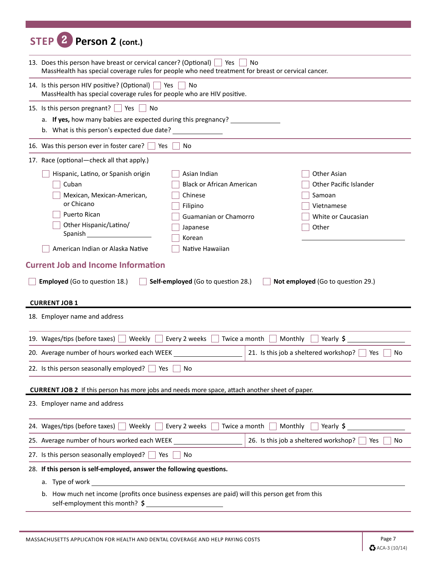| Person 2 (cont.)                                                                                                                                                                                                                                                                                                                                                                                                                                                                                                                                                              |                                                     |  |  |  |  |
|-------------------------------------------------------------------------------------------------------------------------------------------------------------------------------------------------------------------------------------------------------------------------------------------------------------------------------------------------------------------------------------------------------------------------------------------------------------------------------------------------------------------------------------------------------------------------------|-----------------------------------------------------|--|--|--|--|
| 13. Does this person have breast or cervical cancer? (Optional)   Yes<br>No<br>MassHealth has special coverage rules for people who need treatment for breast or cervical cancer.                                                                                                                                                                                                                                                                                                                                                                                             |                                                     |  |  |  |  |
| 14. Is this person HIV positive? (Optional) $\vert \vert$ Yes<br>No<br>MassHealth has special coverage rules for people who are HIV positive.                                                                                                                                                                                                                                                                                                                                                                                                                                 |                                                     |  |  |  |  |
| 15. Is this person pregnant?<br>No<br>Yes<br>a. If yes, how many babies are expected during this pregnancy?<br>b. What is this person's expected due date?                                                                                                                                                                                                                                                                                                                                                                                                                    |                                                     |  |  |  |  |
| 16. Was this person ever in foster care?<br>Yes<br>No                                                                                                                                                                                                                                                                                                                                                                                                                                                                                                                         |                                                     |  |  |  |  |
| 17. Race (optional-check all that apply.)                                                                                                                                                                                                                                                                                                                                                                                                                                                                                                                                     |                                                     |  |  |  |  |
| Hispanic, Latino, or Spanish origin<br>Asian Indian<br>Other Asian<br><b>Black or African American</b><br>Cuban<br>Mexican, Mexican-American,<br>Chinese<br>Samoan<br>or Chicano<br>Vietnamese<br>Filipino<br><b>Puerto Rican</b><br>Guamanian or Chamorro<br>Other Hispanic/Latino/<br>Other<br>Japanese<br>Spanish<br>Korean<br>American Indian or Alaska Native<br>Native Hawaiian<br><b>Current Job and Income Information</b><br><b>Employed</b> (Go to question 18.)<br>Self-employed (Go to question 28.)<br>Not employed (Go to question 29.)<br><b>CURRENT JOB 1</b> | <b>Other Pacific Islander</b><br>White or Caucasian |  |  |  |  |
| 18. Employer name and address                                                                                                                                                                                                                                                                                                                                                                                                                                                                                                                                                 |                                                     |  |  |  |  |
| 19. Wages/tips (before taxes)<br>Yearly \$<br>Weekly<br>Every 2 weeks<br>Twice a month<br>Monthly                                                                                                                                                                                                                                                                                                                                                                                                                                                                             |                                                     |  |  |  |  |
| 20. Average number of hours worked each WEEK<br>21. Is this job a sheltered workshop?                                                                                                                                                                                                                                                                                                                                                                                                                                                                                         | Yes<br>No                                           |  |  |  |  |
| 22. Is this person seasonally employed?<br>Yes<br>No                                                                                                                                                                                                                                                                                                                                                                                                                                                                                                                          |                                                     |  |  |  |  |
|                                                                                                                                                                                                                                                                                                                                                                                                                                                                                                                                                                               |                                                     |  |  |  |  |
| <b>CURRENT JOB 2</b> If this person has more jobs and needs more space, attach another sheet of paper.<br>23. Employer name and address                                                                                                                                                                                                                                                                                                                                                                                                                                       |                                                     |  |  |  |  |
| Every 2 weeks<br>Twice a month<br>24. Wages/tips (before taxes)<br>Weekly $\Box$<br>Monthly<br>Yearly \$                                                                                                                                                                                                                                                                                                                                                                                                                                                                      |                                                     |  |  |  |  |
| 26. Is this job a sheltered workshop?                                                                                                                                                                                                                                                                                                                                                                                                                                                                                                                                         |                                                     |  |  |  |  |
| 27. Is this person seasonally employed?<br>No<br>Yes                                                                                                                                                                                                                                                                                                                                                                                                                                                                                                                          | Yes<br>No                                           |  |  |  |  |
|                                                                                                                                                                                                                                                                                                                                                                                                                                                                                                                                                                               |                                                     |  |  |  |  |
|                                                                                                                                                                                                                                                                                                                                                                                                                                                                                                                                                                               |                                                     |  |  |  |  |
| 28. If this person is self-employed, answer the following questions.<br>a. Type of work                                                                                                                                                                                                                                                                                                                                                                                                                                                                                       |                                                     |  |  |  |  |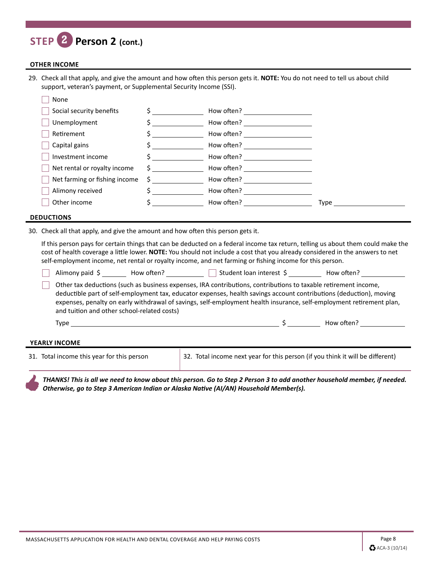## **STEP 2 Person 2 (cont.)**

#### **OTHER INCOME**

29. Check all that apply, and give the amount and how often this person gets it. **NOTE:** You do not need to tell us about child support, veteran's payment, or Supplemental Security Income (SSI).

| None                          |                               |                                                                                                                                                                                                                                |             |
|-------------------------------|-------------------------------|--------------------------------------------------------------------------------------------------------------------------------------------------------------------------------------------------------------------------------|-------------|
| Social security benefits      | $\mathsf{S}$ and $\mathsf{S}$ | How often?                                                                                                                                                                                                                     |             |
| Unemployment                  |                               | How often?                                                                                                                                                                                                                     |             |
| Retirement                    |                               | How often?                                                                                                                                                                                                                     |             |
| Capital gains                 |                               | How often?                                                                                                                                                                                                                     |             |
| Investment income             |                               | How often?                                                                                                                                                                                                                     |             |
| Net rental or royalty income  | $\mathsf{S}$ and $\mathsf{S}$ | How often?                                                                                                                                                                                                                     |             |
| Net farming or fishing income | $\mathsf{S}$ and $\mathsf{S}$ | How often? The control of the control of the control of the control of the control of the control of the control of the control of the control of the control of the control of the control of the control of the control of t |             |
| Alimony received              |                               | How often?                                                                                                                                                                                                                     |             |
| Other income                  |                               | How often?                                                                                                                                                                                                                     | <b>Type</b> |
|                               |                               |                                                                                                                                                                                                                                |             |

#### **DEDUCTIONS**

30. Check all that apply, and give the amount and how often this person gets it.

If this person pays for certain things that can be deducted on a federal income tax return, telling us about them could make the cost of health coverage a little lower. **NOTE:** You should not include a cost that you already considered in the answers to net self-employment income, net rental or royalty income, and net farming or fishing income for this person.

| Alimony paid \$                             | How often? | Student loan interest \$                                                                                                                                                                                                                                                                                                                                       | How often? |  |
|---------------------------------------------|------------|----------------------------------------------------------------------------------------------------------------------------------------------------------------------------------------------------------------------------------------------------------------------------------------------------------------------------------------------------------------|------------|--|
| and tuition and other school-related costs) |            | Other tax deductions (such as business expenses, IRA contributions, contributions to taxable retirement income,<br>deductible part of self-employment tax, educator expenses, health savings account contributions (deduction), moving<br>expenses, penalty on early withdrawal of savings, self-employment health insurance, self-employment retirement plan, |            |  |
| Type                                        |            |                                                                                                                                                                                                                                                                                                                                                                | How often? |  |
| YEARLY INCOME                               |            |                                                                                                                                                                                                                                                                                                                                                                |            |  |

31. Total income this year for this person 32. Total income next year for this person (if you think it will be different)

*THANKS! This is all we need to know about this person. Go to Step 2 Person 3 to add another household member, if needed. Otherwise, go to Step 3 American Indian or Alaska Native (AI/AN) Household Member(s).*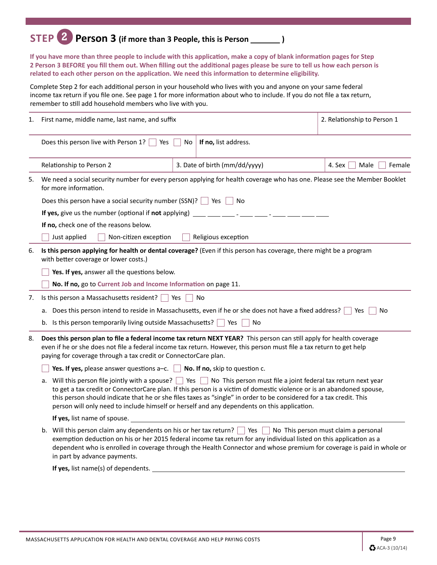## **STEP 2 Person 3 (if more than 3 People, this is Person )**

**If you have more than three people to include with this application, make a copy of blank information pages for Step 2 Person 3 BEFORE you fill them out. When filling out the additional pages please be sure to tell us how each person is related to each other person on the application. We need this information to determine eligibility.**

Complete Step 2 for each additional person in your household who lives with you and anyone on your same federal income tax return if you file one. See page 1 for more information about who to include. If you do not file a tax return, remember to still add household members who live with you.

| 1. | First name, middle name, last name, and suffix                                                                                                                                                                                                                                                                                                                                                                                                                       |                                                                                                                                                                                                                                              | 2. Relationship to Person 1 |  |  |  |  |
|----|----------------------------------------------------------------------------------------------------------------------------------------------------------------------------------------------------------------------------------------------------------------------------------------------------------------------------------------------------------------------------------------------------------------------------------------------------------------------|----------------------------------------------------------------------------------------------------------------------------------------------------------------------------------------------------------------------------------------------|-----------------------------|--|--|--|--|
|    | Does this person live with Person 1?                                                                                                                                                                                                                                                                                                                                                                                                                                 | If no, list address.<br><b>No</b><br>Yes                                                                                                                                                                                                     |                             |  |  |  |  |
|    | Relationship to Person 2                                                                                                                                                                                                                                                                                                                                                                                                                                             | 3. Date of birth (mm/dd/yyyy)                                                                                                                                                                                                                | 4. Sex<br>Male<br>Female    |  |  |  |  |
| 5. | for more information.                                                                                                                                                                                                                                                                                                                                                                                                                                                | We need a social security number for every person applying for health coverage who has one. Please see the Member Booklet                                                                                                                    |                             |  |  |  |  |
|    | Does this person have a social security number (SSN)?   Yes<br>∣No                                                                                                                                                                                                                                                                                                                                                                                                   |                                                                                                                                                                                                                                              |                             |  |  |  |  |
|    | If yes, give us the number (optional if not applying)                                                                                                                                                                                                                                                                                                                                                                                                                |                                                                                                                                                                                                                                              |                             |  |  |  |  |
|    | If no, check one of the reasons below.                                                                                                                                                                                                                                                                                                                                                                                                                               |                                                                                                                                                                                                                                              |                             |  |  |  |  |
|    | Just applied<br>Non-citizen exception                                                                                                                                                                                                                                                                                                                                                                                                                                | Religious exception                                                                                                                                                                                                                          |                             |  |  |  |  |
| 6. | with better coverage or lower costs.)                                                                                                                                                                                                                                                                                                                                                                                                                                | Is this person applying for health or dental coverage? (Even if this person has coverage, there might be a program                                                                                                                           |                             |  |  |  |  |
|    |                                                                                                                                                                                                                                                                                                                                                                                                                                                                      | Yes. If yes, answer all the questions below.                                                                                                                                                                                                 |                             |  |  |  |  |
|    | No. If no, go to Current Job and Income Information on page 11.                                                                                                                                                                                                                                                                                                                                                                                                      |                                                                                                                                                                                                                                              |                             |  |  |  |  |
| 7. | Is this person a Massachusetts resident? $\Box$ Yes<br>N <sub>0</sub>                                                                                                                                                                                                                                                                                                                                                                                                |                                                                                                                                                                                                                                              |                             |  |  |  |  |
|    | Does this person intend to reside in Massachusetts, even if he or she does not have a fixed address?<br>No<br>Yes<br>а.                                                                                                                                                                                                                                                                                                                                              |                                                                                                                                                                                                                                              |                             |  |  |  |  |
|    | b. Is this person temporarily living outside Massachusetts? $\Box$ Yes                                                                                                                                                                                                                                                                                                                                                                                               | No                                                                                                                                                                                                                                           |                             |  |  |  |  |
| 8. | paying for coverage through a tax credit or ConnectorCare plan.                                                                                                                                                                                                                                                                                                                                                                                                      | Does this person plan to file a federal income tax return NEXT YEAR? This person can still apply for health coverage<br>even if he or she does not file a federal income tax return. However, this person must file a tax return to get help |                             |  |  |  |  |
|    | Yes. If yes, please answer questions a-c.<br>No. If no, skip to question c.                                                                                                                                                                                                                                                                                                                                                                                          |                                                                                                                                                                                                                                              |                             |  |  |  |  |
|    | a. Will this person file jointly with a spouse?   Yes   No This person must file a joint federal tax return next year<br>to get a tax credit or ConnectorCare plan. If this person is a victim of domestic violence or is an abandoned spouse,<br>this person should indicate that he or she files taxes as "single" in order to be considered for a tax credit. This<br>person will only need to include himself or herself and any dependents on this application. |                                                                                                                                                                                                                                              |                             |  |  |  |  |
|    | <b>If yes,</b> list name of spouse.                                                                                                                                                                                                                                                                                                                                                                                                                                  |                                                                                                                                                                                                                                              |                             |  |  |  |  |
|    | b. Will this person claim any dependents on his or her tax return? Ves No This person must claim a personal<br>exemption deduction on his or her 2015 federal income tax return for any individual listed on this application as a<br>dependent who is enrolled in coverage through the Health Connector and whose premium for coverage is paid in whole or<br>in part by advance payments.                                                                          |                                                                                                                                                                                                                                              |                             |  |  |  |  |
|    | If yes, list name(s) of dependents.                                                                                                                                                                                                                                                                                                                                                                                                                                  |                                                                                                                                                                                                                                              |                             |  |  |  |  |
|    |                                                                                                                                                                                                                                                                                                                                                                                                                                                                      |                                                                                                                                                                                                                                              |                             |  |  |  |  |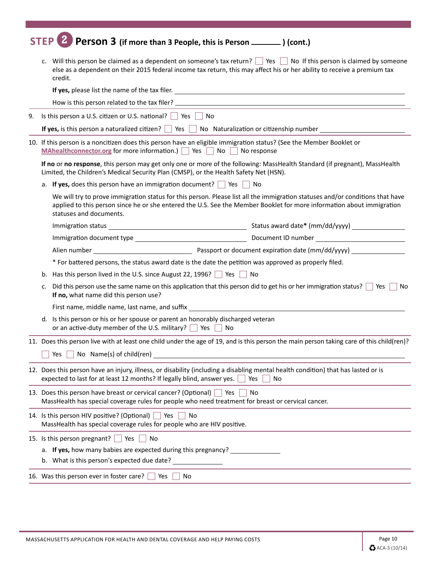## **STEP 2 Person 3 (if more than 3 People, this is Person ) (cont.)**

|                                                                                                                                                                                   |                                                                                                                                                                                                                          | else as a dependent on their 2015 federal income tax return, this may affect his or her ability to receive a premium tax<br>credit.                                                                                                                                               |  |  |
|-----------------------------------------------------------------------------------------------------------------------------------------------------------------------------------|--------------------------------------------------------------------------------------------------------------------------------------------------------------------------------------------------------------------------|-----------------------------------------------------------------------------------------------------------------------------------------------------------------------------------------------------------------------------------------------------------------------------------|--|--|
|                                                                                                                                                                                   |                                                                                                                                                                                                                          |                                                                                                                                                                                                                                                                                   |  |  |
|                                                                                                                                                                                   |                                                                                                                                                                                                                          |                                                                                                                                                                                                                                                                                   |  |  |
| 9.                                                                                                                                                                                |                                                                                                                                                                                                                          | Is this person a U.S. citizen or U.S. national? $\Box$ Yes $\Box$ No                                                                                                                                                                                                              |  |  |
|                                                                                                                                                                                   | If yes, is this person a naturalized citizen? $\Box$ Yes $\Box$ No Naturalization or citizenship number                                                                                                                  |                                                                                                                                                                                                                                                                                   |  |  |
|                                                                                                                                                                                   |                                                                                                                                                                                                                          | 10. If this person is a noncitizen does this person have an eligible immigration status? (See the Member Booklet or<br>MAhealthconnector.org for more information.) $\Box$ Yes $\Box$ No $\Box$ No response                                                                       |  |  |
|                                                                                                                                                                                   |                                                                                                                                                                                                                          | If no or no response, this person may get only one or more of the following: MassHealth Standard (if pregnant), MassHealth<br>Limited, the Children's Medical Security Plan (CMSP), or the Health Safety Net (HSN).                                                               |  |  |
|                                                                                                                                                                                   |                                                                                                                                                                                                                          | a. If yes, does this person have an immigration document? $\Box$ Yes $\Box$ No                                                                                                                                                                                                    |  |  |
|                                                                                                                                                                                   |                                                                                                                                                                                                                          | We will try to prove immigration status for this person. Please list all the immigration statuses and/or conditions that have<br>applied to this person since he or she entered the U.S. See the Member Booklet for more information about immigration<br>statuses and documents. |  |  |
|                                                                                                                                                                                   |                                                                                                                                                                                                                          |                                                                                                                                                                                                                                                                                   |  |  |
|                                                                                                                                                                                   |                                                                                                                                                                                                                          |                                                                                                                                                                                                                                                                                   |  |  |
|                                                                                                                                                                                   |                                                                                                                                                                                                                          |                                                                                                                                                                                                                                                                                   |  |  |
|                                                                                                                                                                                   |                                                                                                                                                                                                                          | * For battered persons, the status award date is the date the petition was approved as properly filed.                                                                                                                                                                            |  |  |
|                                                                                                                                                                                   | b.                                                                                                                                                                                                                       | Has this person lived in the U.S. since August 22, 1996? $\Box$ Yes $\Box$ No                                                                                                                                                                                                     |  |  |
| Did this person use the same name on this application that this person did to get his or her immigration status? $\Box$ Yes $\Box$<br>c.<br>If no, what name did this person use? |                                                                                                                                                                                                                          |                                                                                                                                                                                                                                                                                   |  |  |
|                                                                                                                                                                                   | First name, middle name, last name, and suffix _________________________________                                                                                                                                         |                                                                                                                                                                                                                                                                                   |  |  |
|                                                                                                                                                                                   |                                                                                                                                                                                                                          | Is this person or his or her spouse or parent an honorably discharged veteran<br>d.<br>or an active-duty member of the U.S. military? $\Box$ Yes $\Box$ No                                                                                                                        |  |  |
|                                                                                                                                                                                   |                                                                                                                                                                                                                          | 11. Does this person live with at least one child under the age of 19, and is this person the main person taking care of this child(ren)?                                                                                                                                         |  |  |
|                                                                                                                                                                                   |                                                                                                                                                                                                                          | $Yes \frown No \text{Name}(s) of child (ren)$                                                                                                                                                                                                                                     |  |  |
|                                                                                                                                                                                   | 12. Does this person have an injury, illness, or disability (including a disabling mental health condition) that has lasted or is<br>expected to last for at least 12 months? If legally blind, answer yes.<br>No<br>Yes |                                                                                                                                                                                                                                                                                   |  |  |
|                                                                                                                                                                                   | 13. Does this person have breast or cervical cancer? (Optional) $\Box$ Yes<br><b>No</b><br>MassHealth has special coverage rules for people who need treatment for breast or cervical cancer.                            |                                                                                                                                                                                                                                                                                   |  |  |
|                                                                                                                                                                                   |                                                                                                                                                                                                                          | 14. Is this person HIV positive? (Optional) $\Box$ Yes<br>No<br>MassHealth has special coverage rules for people who are HIV positive.                                                                                                                                            |  |  |
|                                                                                                                                                                                   |                                                                                                                                                                                                                          | 15. Is this person pregnant? Ses<br>  No                                                                                                                                                                                                                                          |  |  |
|                                                                                                                                                                                   | a. If yes, how many babies are expected during this pregnancy?                                                                                                                                                           |                                                                                                                                                                                                                                                                                   |  |  |
|                                                                                                                                                                                   |                                                                                                                                                                                                                          | b. What is this person's expected due date?                                                                                                                                                                                                                                       |  |  |
|                                                                                                                                                                                   |                                                                                                                                                                                                                          | 16. Was this person ever in foster care? [<br>Yes<br>No                                                                                                                                                                                                                           |  |  |
|                                                                                                                                                                                   |                                                                                                                                                                                                                          |                                                                                                                                                                                                                                                                                   |  |  |

í.

í.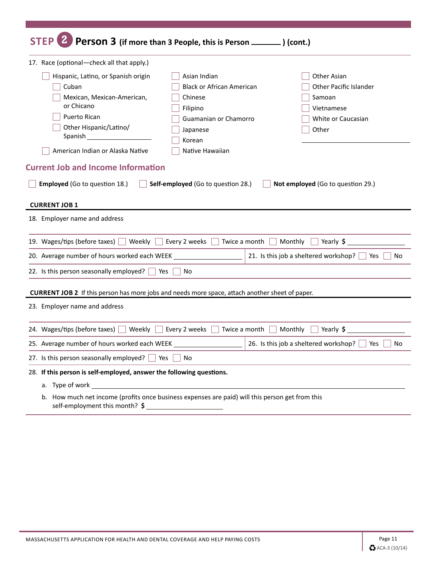| Person 3 (if more than 3 People, this is Person ________ ) (cont.)<br><b>STEP</b>                                                                                                                                                                                                                                                             |                                                                                                     |
|-----------------------------------------------------------------------------------------------------------------------------------------------------------------------------------------------------------------------------------------------------------------------------------------------------------------------------------------------|-----------------------------------------------------------------------------------------------------|
| 17. Race (optional-check all that apply.)                                                                                                                                                                                                                                                                                                     |                                                                                                     |
| Hispanic, Latino, or Spanish origin<br>Asian Indian<br><b>Black or African American</b><br>Cuban<br>Mexican, Mexican-American,<br>Chinese<br>or Chicano<br>Filipino<br>Puerto Rican<br>Guamanian or Chamorro<br>Other Hispanic/Latino/<br>Japanese<br><b>Spanish Spanish</b><br>Korean<br>American Indian or Alaska Native<br>Native Hawaiian | <b>Other Asian</b><br>Other Pacific Islander<br>Samoan<br>Vietnamese<br>White or Caucasian<br>Other |
| <b>Current Job and Income Information</b><br><b>Employed</b> (Go to question 18.)<br>Self-employed (Go to question 28.)<br><b>CURRENT JOB 1</b>                                                                                                                                                                                               | Not employed (Go to question 29.)                                                                   |
| 18. Employer name and address                                                                                                                                                                                                                                                                                                                 |                                                                                                     |
| 19. Wages/tips (before taxes)<br>Weekly<br>Every 2 weeks<br>Twice a month                                                                                                                                                                                                                                                                     | Monthly<br>Yearly \$                                                                                |
| 20. Average number of hours worked each WEEK                                                                                                                                                                                                                                                                                                  | 21. Is this job a sheltered workshop?<br>Yes<br>No                                                  |
| 22. Is this person seasonally employed? $\Box$ Yes $\Box$<br>No                                                                                                                                                                                                                                                                               |                                                                                                     |
| <b>CURRENT JOB 2</b> If this person has more jobs and needs more space, attach another sheet of paper.<br>23. Employer name and address                                                                                                                                                                                                       |                                                                                                     |
|                                                                                                                                                                                                                                                                                                                                               |                                                                                                     |
| 24. Wages/tips (before taxes)<br>  Weekly<br>Every 2 weeks<br>Twice a month                                                                                                                                                                                                                                                                   | Monthly<br>Yearly \$                                                                                |
| 25. Average number of hours worked each WEEK                                                                                                                                                                                                                                                                                                  | 26. Is this job a sheltered workshop?<br>No<br>Yes                                                  |
| 27. Is this person seasonally employed? $\Box$<br>Yes l<br>No                                                                                                                                                                                                                                                                                 |                                                                                                     |
| 28. If this person is self-employed, answer the following questions.                                                                                                                                                                                                                                                                          |                                                                                                     |
|                                                                                                                                                                                                                                                                                                                                               |                                                                                                     |
| b. How much net income (profits once business expenses are paid) will this person get from this<br>self-employment this month? \$                                                                                                                                                                                                             |                                                                                                     |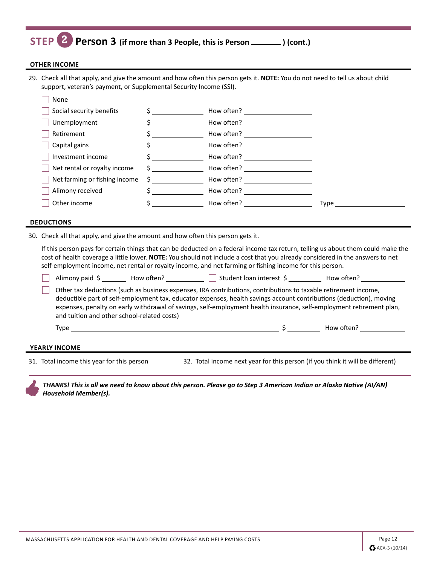### **STEP 2 Person 3 (if more than 3 People, this is Person ) (cont.)**

#### **OTHER INCOME**

29. Check all that apply, and give the amount and how often this person gets it. **NOTE:** You do not need to tell us about child support, veteran's payment, or Supplemental Security Income (SSI).

| None                          |                               |            |       |
|-------------------------------|-------------------------------|------------|-------|
| Social security benefits      |                               | How often? |       |
| Unemployment                  |                               | How often? |       |
| Retirement                    |                               | How often? |       |
| Capital gains                 |                               | How often? |       |
| Investment income             |                               | How often? |       |
| Net rental or royalty income  | $\mathsf{S}$ and $\mathsf{S}$ | How often? |       |
| Net farming or fishing income | S.                            | How often? |       |
| Alimony received              |                               | How often? |       |
| Other income                  |                               | How often? | Type. |

#### **DEDUCTIONS**

30. Check all that apply, and give the amount and how often this person gets it.

If this person pays for certain things that can be deducted on a federal income tax return, telling us about them could make the cost of health coverage a little lower. **NOTE:** You should not include a cost that you already considered in the answers to net self-employment income, net rental or royalty income, and net farming or fishing income for this person.

Alimony paid  $\zeta$  How often? Student loan interest  $\zeta$  How often?

 Other tax deductions (such as business expenses, IRA contributions, contributions to taxable retirement income, deductible part of self-employment tax, educator expenses, health savings account contributions (deduction), moving expenses, penalty on early withdrawal of savings, self-employment health insurance, self-employment retirement plan, and tuition and other school-related costs)

Type  $\zeta$  How often?

#### **YEARLY INCOME**

31. Total income this year for this person 32. Total income next year for this person (if you think it will be different)

*THANKS! This is all we need to know about this person. Please go to Step 3 American Indian or Alaska Native (AI/AN) Household Member(s).*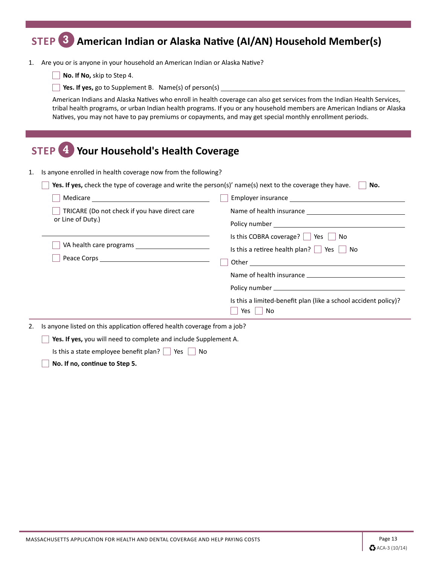## **STEP 3 American Indian or Alaska Native (AI/AN) Household Member(s)**

- 1. Are you or is anyone in your household an American Indian or Alaska Native?
	- **No. If No,** skip to Step 4.
	- **Yes. If yes,** go to Supplement B. Name(s) of person(s)

American Indians and Alaska Natives who enroll in health coverage can also get services from the Indian Health Services, tribal health programs, or urban Indian health programs. If you or any household members are American Indians or Alaska Natives, you may not have to pay premiums or copayments, and may get special monthly enrollment periods.

| 4 Your Household's Health Coverage<br><b>STEP</b>                                                                                                                                                                                                                |                                                                                                                                                                                      |  |
|------------------------------------------------------------------------------------------------------------------------------------------------------------------------------------------------------------------------------------------------------------------|--------------------------------------------------------------------------------------------------------------------------------------------------------------------------------------|--|
| Is anyone enrolled in health coverage now from the following?<br>Yes. If yes, check the type of coverage and write the person(s)' name(s) next to the coverage they have.<br>No.                                                                                 |                                                                                                                                                                                      |  |
|                                                                                                                                                                                                                                                                  |                                                                                                                                                                                      |  |
| TRICARE (Do not check if you have direct care<br>or Line of Duty.)                                                                                                                                                                                               |                                                                                                                                                                                      |  |
|                                                                                                                                                                                                                                                                  | Is this COBRA coverage? $\vert$ Yes $\vert$ No<br>Is this a retiree health plan? $\Box$ Yes<br>No<br>Is this a limited-benefit plan (like a school accident policy)?<br>Yes l<br>∣No |  |
| Is anyone listed on this application offered health coverage from a job?<br>2.<br>Yes. If yes, you will need to complete and include Supplement A.<br>Is this a state employee benefit plan? $\vert$ $\vert$ Yes $\vert$<br>No<br>No. If no, continue to Step 5. |                                                                                                                                                                                      |  |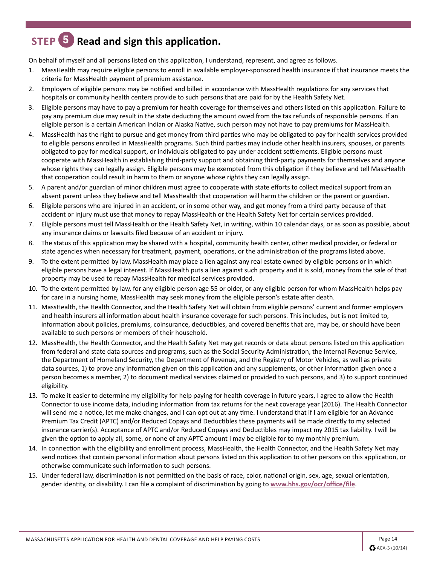## **STEP 5 Read and sign this application.**

On behalf of myself and all persons listed on this application, I understand, represent, and agree as follows.

- 1. MassHealth may require eligible persons to enroll in available employer-sponsored health insurance if that insurance meets the criteria for MassHealth payment of premium assistance.
- 2. Employers of eligible persons may be notified and billed in accordance with MassHealth regulations for any services that hospitals or community health centers provide to such persons that are paid for by the Health Safety Net.
- 3. Eligible persons may have to pay a premium for health coverage for themselves and others listed on this application. Failure to pay any premium due may result in the state deducting the amount owed from the tax refunds of responsible persons. If an eligible person is a certain American Indian or Alaska Native, such person may not have to pay premiums for MassHealth.
- 4. MassHealth has the right to pursue and get money from third parties who may be obligated to pay for health services provided to eligible persons enrolled in MassHealth programs. Such third parties may include other health insurers, spouses, or parents obligated to pay for medical support, or individuals obligated to pay under accident settlements. Eligible persons must cooperate with MassHealth in establishing third-party support and obtaining third-party payments for themselves and anyone whose rights they can legally assign. Eligible persons may be exempted from this obligation if they believe and tell MassHealth that cooperation could result in harm to them or anyone whose rights they can legally assign.
- 5. A parent and/or guardian of minor children must agree to cooperate with state efforts to collect medical support from an absent parent unless they believe and tell MassHealth that cooperation will harm the children or the parent or guardian.
- 6. Eligible persons who are injured in an accident, or in some other way, and get money from a third party because of that accident or injury must use that money to repay MassHealth or the Health Safety Net for certain services provided.
- 7. Eligible persons must tell MassHealth or the Health Safety Net, in writing, within 10 calendar days, or as soon as possible, about any insurance claims or lawsuits filed because of an accident or injury.
- 8. The status of this application may be shared with a hospital, community health center, other medical provider, or federal or state agencies when necessary for treatment, payment, operations, or the administration of the programs listed above.
- 9. To the extent permitted by law, MassHealth may place a lien against any real estate owned by eligible persons or in which eligible persons have a legal interest. If MassHealth puts a lien against such property and it is sold, money from the sale of that property may be used to repay MassHealth for medical services provided.
- 10. To the extent permitted by law, for any eligible person age 55 or older, or any eligible person for whom MassHealth helps pay for care in a nursing home, MassHealth may seek money from the eligible person's estate after death.
- 11. MassHealth, the Health Connector, and the Health Safety Net will obtain from eligible persons' current and former employers and health insurers all information about health insurance coverage for such persons. This includes, but is not limited to, information about policies, premiums, coinsurance, deductibles, and covered benefits that are, may be, or should have been available to such persons or members of their household.
- 12. MassHealth, the Health Connector, and the Health Safety Net may get records or data about persons listed on this application from federal and state data sources and programs, such as the Social Security Administration, the Internal Revenue Service, the Department of Homeland Security, the Department of Revenue, and the Registry of Motor Vehicles, as well as private data sources, 1) to prove any information given on this application and any supplements, or other information given once a person becomes a member, 2) to document medical services claimed or provided to such persons, and 3) to support continued eligibility.
- 13. To make it easier to determine my eligibility for help paying for health coverage in future years, I agree to allow the Health Connector to use income data, including information from tax returns for the next coverage year (2016). The Health Connector will send me a notice, let me make changes, and I can opt out at any time. I understand that if I am eligible for an Advance Premium Tax Credit (APTC) and/or Reduced Copays and Deductibles these payments will be made directly to my selected insurance carrier(s). Acceptance of APTC and/or Reduced Copays and Deductibles may impact my 2015 tax liability. I will be given the option to apply all, some, or none of any APTC amount I may be eligible for to my monthly premium.
- 14. In connection with the eligibility and enrollment process, MassHealth, the Health Connector, and the Health Safety Net may send notices that contain personal information about persons listed on this application to other persons on this application, or otherwise communicate such information to such persons.
- 15. Under federal law, discrimination is not permitted on the basis of race, color, national origin, sex, age, sexual orientation, gender identity, or disability. I can file a complaint of discrimination by going to **www.hhs.gov/ocr/office/file**.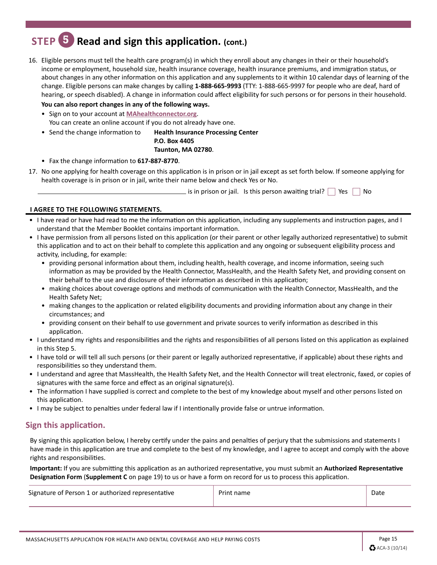## **STEP 5 Read and sign this application. (cont.)**

16. Eligible persons must tell the health care program(s) in which they enroll about any changes in their or their household's income or employment, household size, health insurance coverage, health insurance premiums, and immigration status, or about changes in any other information on this application and any supplements to it within 10 calendar days of learning of the change. Eligible persons can make changes by calling **1-888-665-9993** (TTY: 1-888-665-9997 for people who are deaf, hard of hearing, or speech disabled). A change in information could affect eligibility for such persons or for persons in their household.

**You can also report changes in any of the following ways.** • Sign on to your account at **MAhealthconnector.org**. You can create an online account if you do not already have one.

• Send the change information to **Health Insurance Processing Center P.O. Box 4405 Taunton, MA 02780**.

- Fax the change information to **617-887-8770**.
- 17. No one applying for health coverage on this application is in prison or in jail except as set forth below. If someone applying for health coverage is in prison or in jail, write their name below and check Yes or No.

 $\overline{\phantom{a}}$  is in prison or jail. Is this person awaiting trial?  $\Box$  Yes  $\Box$  No

#### **I AGREE TO THE FOLLOWING STATEMENTS.**

- I have read or have had read to me the information on this application, including any supplements and instruction pages, and I understand that the Member Booklet contains important information.
- I have permission from all persons listed on this application (or their parent or other legally authorized representative) to submit this application and to act on their behalf to complete this application and any ongoing or subsequent eligibility process and activity, including, for example:
	- providing personal information about them, including health, health coverage, and income information, seeing such information as may be provided by the Health Connector, MassHealth, and the Health Safety Net, and providing consent on their behalf to the use and disclosure of their information as described in this application;
	- making choices about coverage options and methods of communication with the Health Connector, MassHealth, and the Health Safety Net;
	- making changes to the application or related eligibility documents and providing information about any change in their circumstances; and
	- providing consent on their behalf to use government and private sources to verify information as described in this application.
- I understand my rights and responsibilities and the rights and responsibilities of all persons listed on this application as explained in this Step 5.
- I have told or will tell all such persons (or their parent or legally authorized representative, if applicable) about these rights and responsibilities so they understand them.
- I understand and agree that MassHealth, the Health Safety Net, and the Health Connector will treat electronic, faxed, or copies of signatures with the same force and effect as an original signature(s).
- The information I have supplied is correct and complete to the best of my knowledge about myself and other persons listed on this application.
- I may be subject to penalties under federal law if I intentionally provide false or untrue information.

### **Sign this application.**

By signing this application below, I hereby certify under the pains and penalties of perjury that the submissions and statements I have made in this application are true and complete to the best of my knowledge, and I agree to accept and comply with the above rights and responsibilities.

**Important:** If you are submitting this application as an authorized representative, you must submit an **Authorized Representative Designation Form** (**Supplement C** on page 19) to us or have a form on record for us to process this application.

| Signature of Person 1 or authorized representative | Print name | Date |
|----------------------------------------------------|------------|------|
|                                                    |            |      |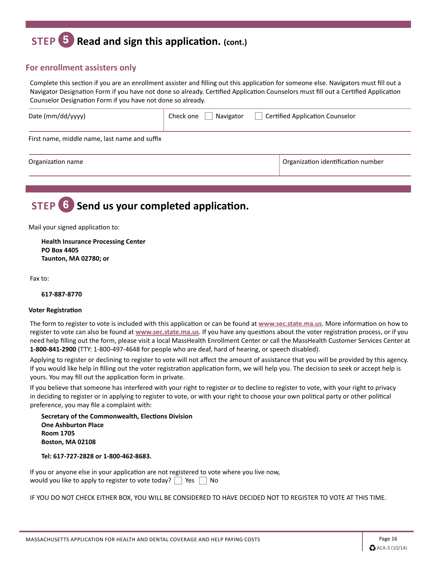## **STEP 5 Read and sign this application. (cont.)**

### **For enrollment assisters only**

Complete this section if you are an enrollment assister and filling out this application for someone else. Navigators must fill out a Navigator Designation Form if you have not done so already. Certified Application Counselors must fill out a Certified Application Counselor Designation Form if you have not done so already.

| Date (mm/dd/yyyy)                             | Navigator<br>Check one | <b>Certified Application Counselor</b> |
|-----------------------------------------------|------------------------|----------------------------------------|
| First name, middle name, last name and suffix |                        |                                        |
| Organization name                             |                        | Organization identification number     |
|                                               |                        |                                        |

## **STEP 6 Send us your completed application.**

Mail your signed application to:

**Health Insurance Processing Center PO Box 4405 Taunton, MA 02780; or**

Fax to:

#### **617-887-8770**

#### **Voter Registration**

The form to register to vote is included with this application or can be found at **www.sec.state.ma.us**. More information on how to register to vote can also be found at **www.sec.state.ma.us**. If you have any questions about the voter registration process, or if you need help filling out the form, please visit a local MassHealth Enrollment Center or call the MassHealth Customer Services Center at **1-800-841-2900** (TTY: 1-800-497-4648 for people who are deaf, hard of hearing, or speech disabled).

Applying to register or declining to register to vote will not affect the amount of assistance that you will be provided by this agency. If you would like help in filling out the voter registration application form, we will help you. The decision to seek or accept help is yours. You may fill out the application form in private.

If you believe that someone has interfered with your right to register or to decline to register to vote, with your right to privacy in deciding to register or in applying to register to vote, or with your right to choose your own political party or other political preference, you may file a complaint with:

**Secretary of the Commonwealth, Elections Division One Ashburton Place Room 1705 Boston, MA 02108**

**Tel: 617-727-2828 or 1-800-462-8683.**

If you or anyone else in your application are not registered to vote where you live now, would you like to apply to register to vote today?  $\Box$  Yes  $\Box$  No

IF YOU DO NOT CHECK EITHER BOX, YOU WILL BE CONSIDERED TO HAVE DECIDED NOT TO REGISTER TO VOTE AT THIS TIME.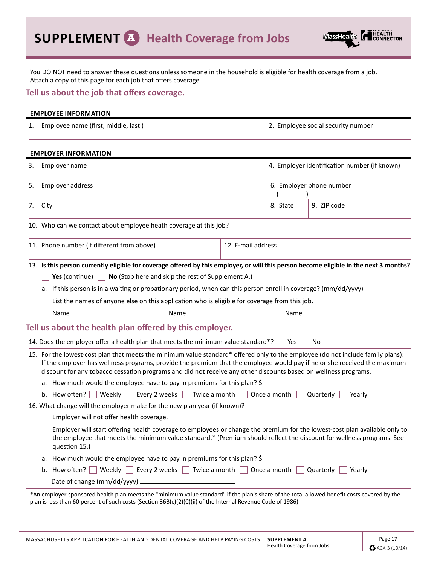

You DO NOT need to answer these questions unless someone in the household is eligible for health coverage from a job. Attach a copy of this page for each job that offers coverage.

### **Tell us about the job that offers coverage.**

|    | <b>EMPLOYEE INFORMATION</b>                                                                        |                                                                                                                                                                                                                                                                                                                                                                                |
|----|----------------------------------------------------------------------------------------------------|--------------------------------------------------------------------------------------------------------------------------------------------------------------------------------------------------------------------------------------------------------------------------------------------------------------------------------------------------------------------------------|
|    | Employee name (first, middle, last)                                                                | 2. Employee social security number                                                                                                                                                                                                                                                                                                                                             |
|    | <b>EMPLOYER INFORMATION</b>                                                                        |                                                                                                                                                                                                                                                                                                                                                                                |
|    | 3. Employer name                                                                                   | 4. Employer identification number (if known)                                                                                                                                                                                                                                                                                                                                   |
| 5. | Employer address                                                                                   | 6. Employer phone number                                                                                                                                                                                                                                                                                                                                                       |
|    | 7. City                                                                                            | 8. State<br>9. ZIP code                                                                                                                                                                                                                                                                                                                                                        |
|    | 10. Who can we contact about employee heath coverage at this job?                                  |                                                                                                                                                                                                                                                                                                                                                                                |
|    | 11. Phone number (if different from above)                                                         | 12. E-mail address                                                                                                                                                                                                                                                                                                                                                             |
|    | <b>Yes</b> (continue) $\vert \cdot \vert$ <b>No</b> (Stop here and skip the rest of Supplement A.) | a. If this person is in a waiting or probationary period, when can this person enroll in coverage? (mm/dd/yyyy)                                                                                                                                                                                                                                                                |
|    |                                                                                                    | List the names of anyone else on this application who is eligible for coverage from this job.                                                                                                                                                                                                                                                                                  |
|    |                                                                                                    |                                                                                                                                                                                                                                                                                                                                                                                |
|    | Tell us about the health plan offered by this employer.                                            |                                                                                                                                                                                                                                                                                                                                                                                |
|    | 14. Does the employer offer a health plan that meets the minimum value standard*? $\Box$ Yes       | No                                                                                                                                                                                                                                                                                                                                                                             |
|    |                                                                                                    | 15. For the lowest-cost plan that meets the minimum value standard* offered only to the employee (do not include family plans):<br>If the employer has wellness programs, provide the premium that the employee would pay if he or she received the maximum<br>discount for any tobacco cessation programs and did not receive any other discounts based on wellness programs. |
|    | a. How much would the employee have to pay in premiums for this plan? \$                           |                                                                                                                                                                                                                                                                                                                                                                                |
|    | b. How often? $ $<br>  Weekly     Every 2 weeks     Twice a month                                  | Once a month<br>Quarterly<br>Yearly                                                                                                                                                                                                                                                                                                                                            |
|    | 16. What change will the employer make for the new plan year (if known)?                           |                                                                                                                                                                                                                                                                                                                                                                                |
|    | Employer will not offer health coverage.                                                           |                                                                                                                                                                                                                                                                                                                                                                                |
|    | question 15.)                                                                                      | Employer will start offering health coverage to employees or change the premium for the lowest-cost plan available only to<br>the employee that meets the minimum value standard.* (Premium should reflect the discount for wellness programs. See                                                                                                                             |
|    | a. How much would the employee have to pay in premiums for this plan? \$                           |                                                                                                                                                                                                                                                                                                                                                                                |
|    | b. How often? Weekly Every 2 weeks Turkice a month Once a month Quarterly                          | Yearly                                                                                                                                                                                                                                                                                                                                                                         |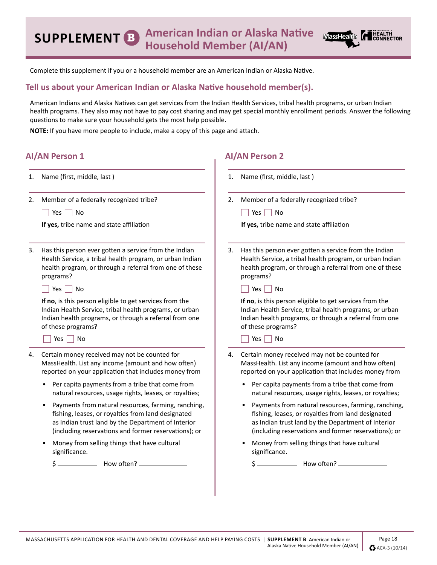

Complete this supplement if you or a household member are an American Indian or Alaska Native.

### **Tell us about your American Indian or Alaska Native household member(s).**

American Indians and Alaska Natives can get services from the Indian Health Services, tribal health programs, or urban Indian health programs. They also may not have to pay cost sharing and may get special monthly enrollment periods. Answer the following questions to make sure your household gets the most help possible.

r.

**AI/AN Person 2**

**NOTE:** If you have more people to include, make a copy of this page and attach.

### **AI/AN Person 1**

| 1. | Name (first, middle, last)                                                                                                                                                                                                           | 1. | Name (first, middle, last)                                                                                                                                                                                              |
|----|--------------------------------------------------------------------------------------------------------------------------------------------------------------------------------------------------------------------------------------|----|-------------------------------------------------------------------------------------------------------------------------------------------------------------------------------------------------------------------------|
| 2. | Member of a federally recognized tribe?                                                                                                                                                                                              | 2. | Member of a federally recognized tribe?                                                                                                                                                                                 |
|    | Yes $ $<br>No                                                                                                                                                                                                                        |    | Yes<br>No                                                                                                                                                                                                               |
|    | If yes, tribe name and state affiliation                                                                                                                                                                                             |    | If yes, tribe name and state affiliation                                                                                                                                                                                |
| 3. | Has this person ever gotten a service from the Indian<br>Health Service, a tribal health program, or urban Indian<br>health program, or through a referral from one of these<br>programs?                                            | 3. | Has this person ever gotten a service from the Indian<br>Health Service, a tribal health program, or urban Indian<br>health program, or through a referral from one of these<br>programs?                               |
|    | Yes<br>No                                                                                                                                                                                                                            |    | Yes<br>No                                                                                                                                                                                                               |
|    | If no, is this person eligible to get services from the<br>Indian Health Service, tribal health programs, or urban<br>Indian health programs, or through a referral from one<br>of these programs?                                   |    | If no, is this person eligible to get services from the<br>Indian Health Service, tribal health programs, or urban<br>Indian health programs, or through a referral from one<br>of these programs?                      |
|    | $Yes \mid No$                                                                                                                                                                                                                        |    | <b>No</b><br>Yes                                                                                                                                                                                                        |
| 4. | Certain money received may not be counted for<br>MassHealth. List any income (amount and how often)<br>reported on your application that includes money from                                                                         |    | 4. Certain money received may not be counted for<br>MassHealth. List any income (amount and how often)<br>reported on your application that includes money from                                                         |
|    | Per capita payments from a tribe that come from<br>natural resources, usage rights, leases, or royalties;                                                                                                                            |    | Per capita payments from a tribe that come from<br>natural resources, usage rights, leases, or royalties;                                                                                                               |
|    | Payments from natural resources, farming, ranching,<br>$\bullet$<br>fishing, leases, or royalties from land designated<br>as Indian trust land by the Department of Interior<br>(including reservations and former reservations); or |    | Payments from natural resources, farming, ranching,<br>fishing, leases, or royalties from land designated<br>as Indian trust land by the Department of Interior<br>(including reservations and former reservations); or |
|    | Money from selling things that have cultural<br>significance.                                                                                                                                                                        |    | Money from selling things that have cultural<br>significance.                                                                                                                                                           |
|    | How often?<br>\$                                                                                                                                                                                                                     |    | How often?                                                                                                                                                                                                              |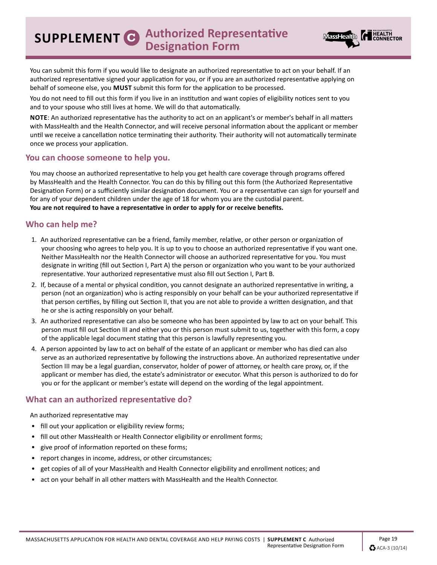**SUPPLEMENT C Authorized Representative Designation Form**



You can submit this form if you would like to designate an authorized representative to act on your behalf. If an authorized representative signed your application for you, or if you are an authorized representative applying on behalf of someone else, you **MUST** submit this form for the application to be processed.

You do not need to fill out this form if you live in an institution and want copies of eligibility notices sent to you and to your spouse who still lives at home. We will do that automatically.

**NOTE**: An authorized representative has the authority to act on an applicant's or member's behalf in all matters with MassHealth and the Health Connector, and will receive personal information about the applicant or member until we receive a cancellation notice terminating their authority. Their authority will not automatically terminate once we process your application.

### **You can choose someone to help you.**

You may choose an authorized representative to help you get health care coverage through programs offered by MassHealth and the Health Connector. You can do this by filling out this form (the Authorized Representative Designation Form) or a sufficiently similar designation document. You or a representative can sign for yourself and for any of your dependent children under the age of 18 for whom you are the custodial parent. **You are not required to have a representative in order to apply for or receive benefits.**

### **Who can help me?**

- 1. An authorized representative can be a friend, family member, relative, or other person or organization of your choosing who agrees to help you. It is up to you to choose an authorized representative if you want one. Neither MassHealth nor the Health Connector will choose an authorized representative for you. You must designate in writing (fill out Section I, Part A) the person or organization who you want to be your authorized representative. Your authorized representative must also fill out Section I, Part B.
- 2. If, because of a mental or physical condition, you cannot designate an authorized representative in writing, a person (not an organization) who is acting responsibly on your behalf can be your authorized representative if that person certifies, by filling out Section II, that you are not able to provide a written designation, and that he or she is acting responsibly on your behalf.
- 3. An authorized representative can also be someone who has been appointed by law to act on your behalf. This person must fill out Section III and either you or this person must submit to us, together with this form, a copy of the applicable legal document stating that this person is lawfully representing you.
- 4. A person appointed by law to act on behalf of the estate of an applicant or member who has died can also serve as an authorized representative by following the instructions above. An authorized representative under Section III may be a legal guardian, conservator, holder of power of attorney, or health care proxy, or, if the applicant or member has died, the estate's administrator or executor. What this person is authorized to do for you or for the applicant or member's estate will depend on the wording of the legal appointment.

### **What can an authorized representative do?**

An authorized representative may

- fill out your application or eligibility review forms;
- fill out other MassHealth or Health Connector eligibility or enrollment forms;
- give proof of information reported on these forms;
- report changes in income, address, or other circumstances;
- get copies of all of your MassHealth and Health Connector eligibility and enrollment notices; and
- act on your behalf in all other matters with MassHealth and the Health Connector.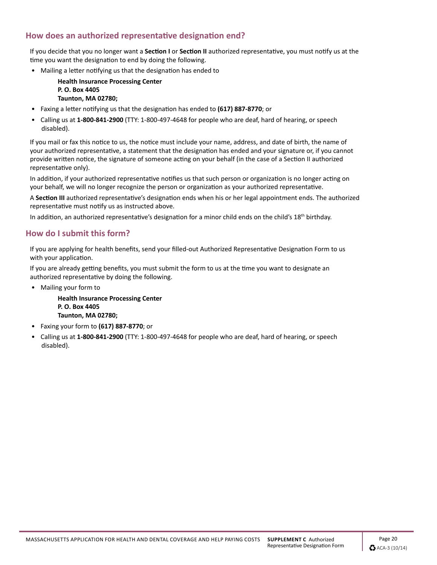### **How does an authorized representative designation end?**

If you decide that you no longer want a **Section I** or **Section II** authorized representative, you must notify us at the time you want the designation to end by doing the following.

• Mailing a letter notifying us that the designation has ended to

**Health Insurance Processing Center P. O. Box 4405 Taunton, MA 02780;**

- Faxing a letter notifying us that the designation has ended to **(617) 887-8770**; or
- Calling us at **1-800-841-2900** (TTY: 1-800-497-4648 for people who are deaf, hard of hearing, or speech disabled).

If you mail or fax this notice to us, the notice must include your name, address, and date of birth, the name of your authorized representative, a statement that the designation has ended and your signature or, if you cannot provide written notice, the signature of someone acting on your behalf (in the case of a Section II authorized representative only).

In addition, if your authorized representative notifies us that such person or organization is no longer acting on your behalf, we will no longer recognize the person or organization as your authorized representative.

A **Section III** authorized representative's designation ends when his or her legal appointment ends. The authorized representative must notify us as instructed above.

In addition, an authorized representative's designation for a minor child ends on the child's  $18<sup>th</sup>$  birthday.

### **How do I submit this form?**

If you are applying for health benefits, send your filled-out Authorized Representative Designation Form to us with your application.

If you are already getting benefits, you must submit the form to us at the time you want to designate an authorized representative by doing the following.

• Mailing your form to

**Health Insurance Processing Center P. O. Box 4405 Taunton, MA 02780;**

- Faxing your form to **(617) 887-8770**; or
- Calling us at **1-800-841-2900** (TTY: 1-800-497-4648 for people who are deaf, hard of hearing, or speech disabled).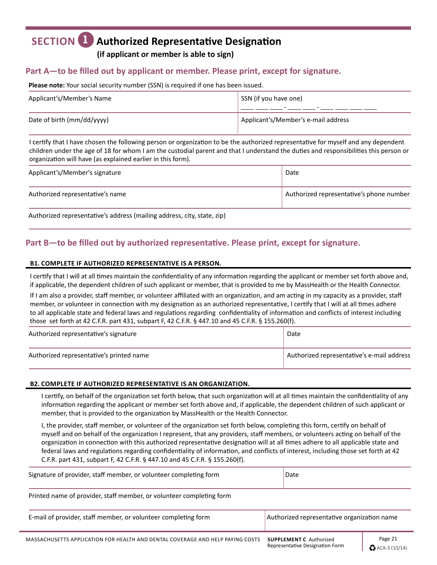## **SECTION 1 Authorized Representative Designation**

**(if applicant or member is able to sign)**

### **Part A—to be filled out by applicant or member. Please print, except for signature.**

#### **Please note:** Your social security number (SSN) is required if one has been issued.

| Applicant's/Member's Name  | SSN (if you have one)<br>$\overline{\phantom{0}}$ |
|----------------------------|---------------------------------------------------|
| Date of birth (mm/dd/yyyy) | Applicant's/Member's e-mail address               |

I certify that I have chosen the following person or organization to be the authorized representative for myself and any dependent children under the age of 18 for whom I am the custodial parent and that I understand the duties and responsibilities this person or organization will have (as explained earlier in this form).

| Applicant's/Member's signature   | Date                                     |
|----------------------------------|------------------------------------------|
| Authorized representative's name | Authorized representative's phone number |

Authorized representative's address (mailing address, city, state, zip)

### **Part B—to be filled out by authorized representative. Please print, except for signature.**

#### **B1. COMPLETE IF AUTHORIZED REPRESENTATIVE IS A PERSON.**

I certify that I will at all times maintain the confidentiality of any information regarding the applicant or member set forth above and, if applicable, the dependent children of such applicant or member, that is provided to me by MassHealth or the Health Connector.

If I am also a provider, staff member, or volunteer affiliated with an organization, and am acting in my capacity as a provider, staff member, or volunteer in connection with my designation as an authorized representative, I certify that I will at all times adhere to all applicable state and federal laws and regulations regarding confidentiality of information and conflicts of interest including those set forth at 42 C.F.R. part 431, subpart F, 42 C.F.R. § 447.10 and 45 C.F.R. § 155.260(f).

| Authorized representative's signature    | Date                                       |
|------------------------------------------|--------------------------------------------|
| Authorized representative's printed name | Authorized representative's e-mail address |

#### **B2. COMPLETE IF AUTHORIZED REPRESENTATIVE IS AN ORGANIZATION.**

I certify, on behalf of the organization set forth below, that such organization will at all times maintain the confidentiality of any information regarding the applicant or member set forth above and, if applicable, the dependent children of such applicant or member, that is provided to the organization by MassHealth or the Health Connector.

I, the provider, staff member, or volunteer of the organization set forth below, completing this form, certify on behalf of myself and on behalf of the organization I represent, that any providers, staff members, or volunteers acting on behalf of the organization in connection with this authorized representative designation will at all times adhere to all applicable state and federal laws and regulations regarding confidentiality of information, and conflicts of interest, including those set forth at 42 C.F.R. part 431, subpart F, 42 C.F.R. § 447.10 and 45 C.F.R. § 155.260(f).

| Signature of provider, staff member, or volunteer completing form    | Date                                        |
|----------------------------------------------------------------------|---------------------------------------------|
| Printed name of provider, staff member, or volunteer completing form |                                             |
| E-mail of provider, staff member, or volunteer completing form       | Authorized representative organization name |